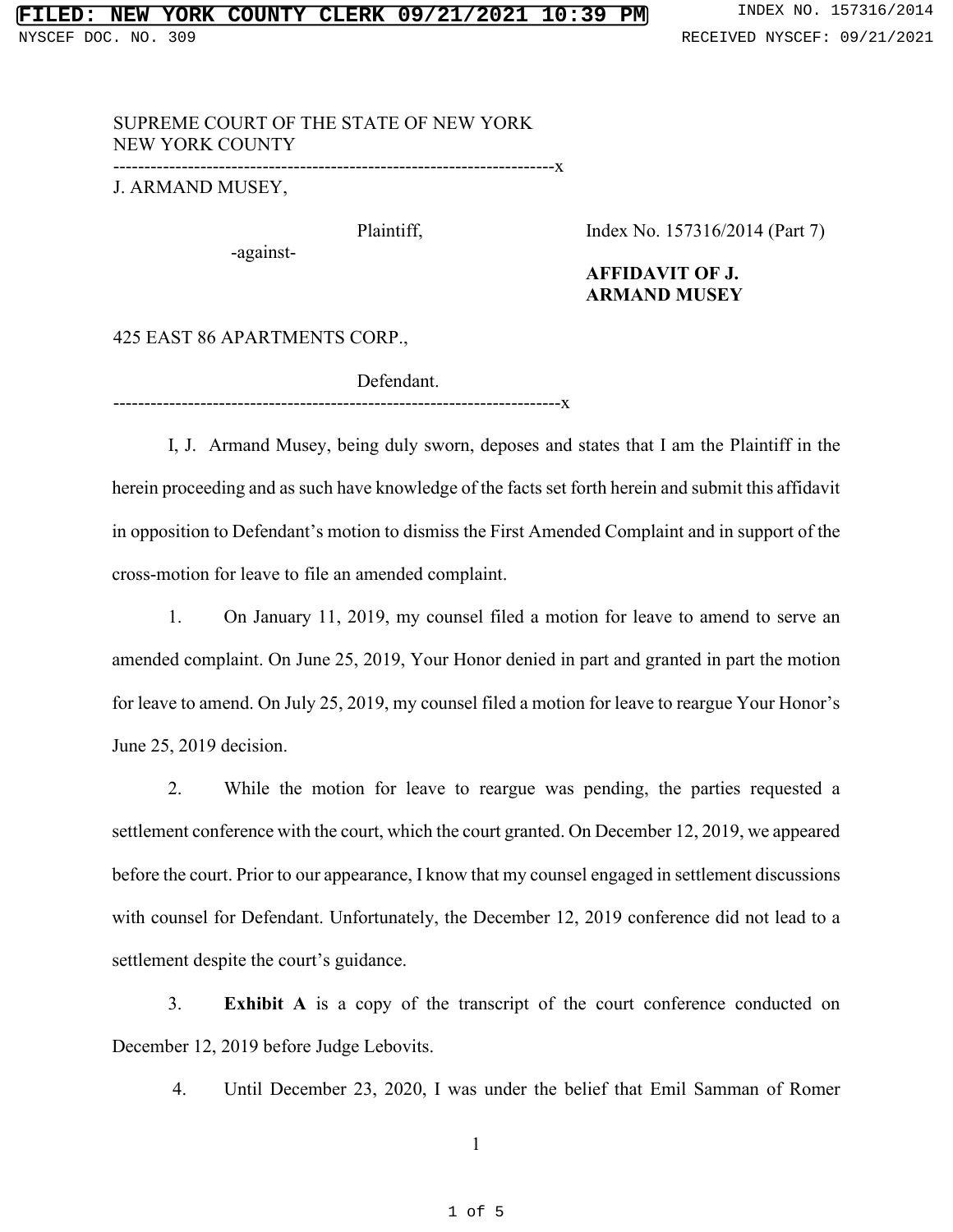## SUPREME COURT OF THE STATE OF NEW YORK NEW YORK COUNTY

-----------------------------------------------------------------------x

------------------------------------------------------------------------x

J. ARMAND MUSEY,

Plaintiff,

Index No. 157316/2014 (Part 7)

-against-

### **AFFIDAVIT OF J. ARMAND MUSEY**

# 425 EAST 86 APARTMENTS CORP.,

Defendant.

I, J. Armand Musey, being duly sworn, deposes and states that I am the Plaintiff in the herein proceeding and as such have knowledge of the facts set forth herein and submit this affidavit in opposition to Defendant's motion to dismiss the First Amended Complaint and in support of the cross-motion for leave to file an amended complaint.

1. On January 11, 2019, my counsel filed a motion for leave to amend to serve an amended complaint. On June 25, 2019, Your Honor denied in part and granted in part the motion for leave to amend. On July 25, 2019, my counsel filed a motion for leave to reargue Your Honor's June 25, 2019 decision.

2. While the motion for leave to reargue was pending, the parties requested a settlement conference with the court, which the court granted. On December 12, 2019, we appeared before the court. Prior to our appearance, I know that my counsel engaged in settlement discussions with counsel for Defendant. Unfortunately, the December 12, 2019 conference did not lead to a settlement despite the court's guidance.

3. **Exhibit A** is a copy of the transcript of the court conference conducted on December 12, 2019 before Judge Lebovits.

4. Until December 23, 2020, I was under the belief that Emil Samman of Romer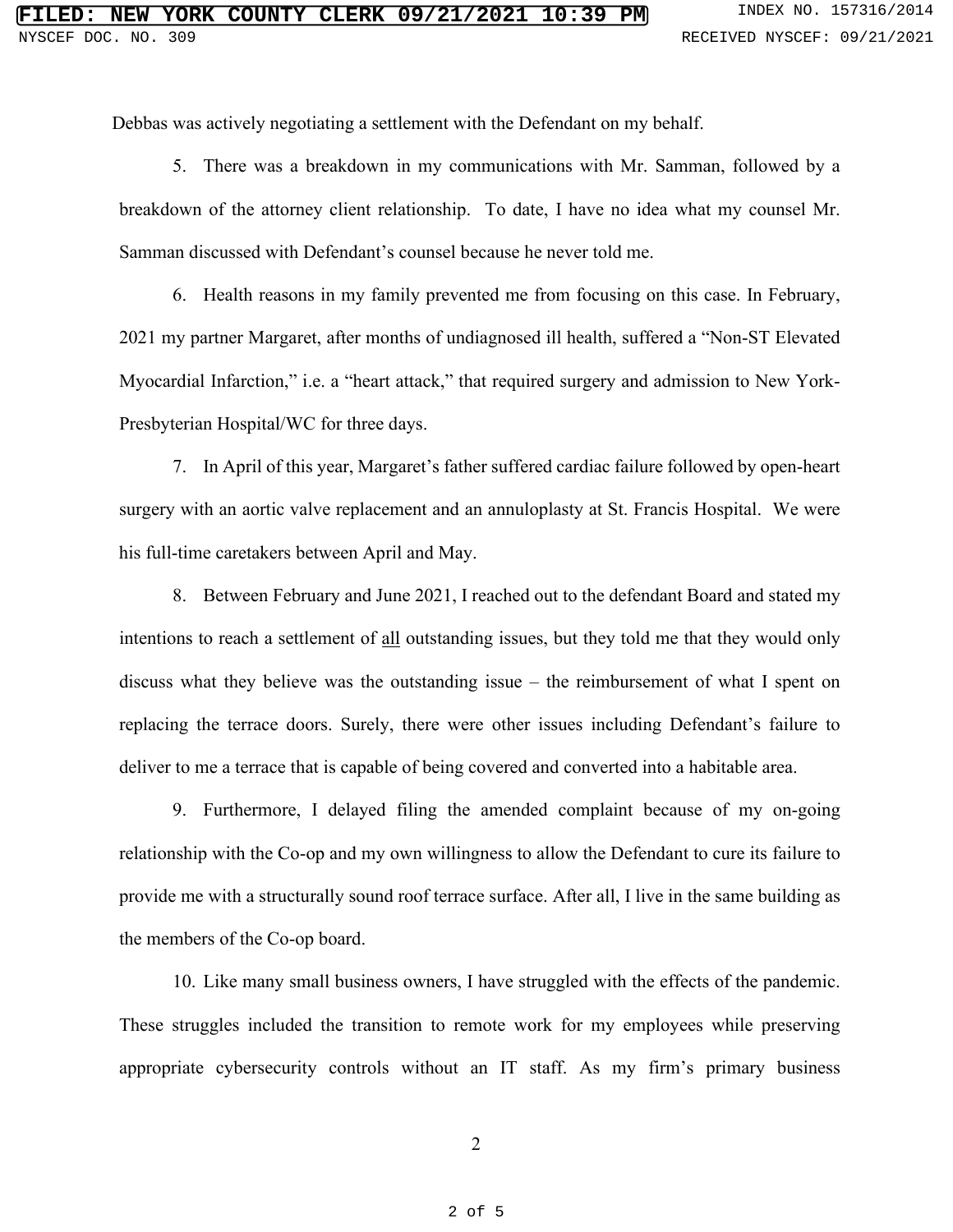Debbas was actively negotiating a settlement with the Defendant on my behalf.

5. There was a breakdown in my communications with Mr. Samman, followed by a breakdown of the attorney client relationship. To date, I have no idea what my counsel Mr. Samman discussed with Defendant's counsel because he never told me.

6. Health reasons in my family prevented me from focusing on this case. In February, 2021 my partner Margaret, after months of undiagnosed ill health, suffered a "Non-ST Elevated Myocardial Infarction," i.e. a "heart attack," that required surgery and admission to New York-Presbyterian Hospital/WC for three days.

7. In April of this year, Margaret's father suffered cardiac failure followed by open-heart surgery with an aortic valve replacement and an annuloplasty at St. Francis Hospital. We were his full-time caretakers between April and May.

8. Between February and June 2021, I reached out to the defendant Board and stated my intentions to reach a settlement of all outstanding issues, but they told me that they would only discuss what they believe was the outstanding issue – the reimbursement of what I spent on replacing the terrace doors. Surely, there were other issues including Defendant's failure to deliver to me a terrace that is capable of being covered and converted into a habitable area.

9. Furthermore, I delayed filing the amended complaint because of my on-going relationship with the Co-op and my own willingness to allow the Defendant to cure its failure to provide me with a structurally sound roof terrace surface. After all, I live in the same building as the members of the Co-op board.

10. Like many small business owners, I have struggled with the effects of the pandemic. These struggles included the transition to remote work for my employees while preserving appropriate cybersecurity controls without an IT staff. As my firm's primary business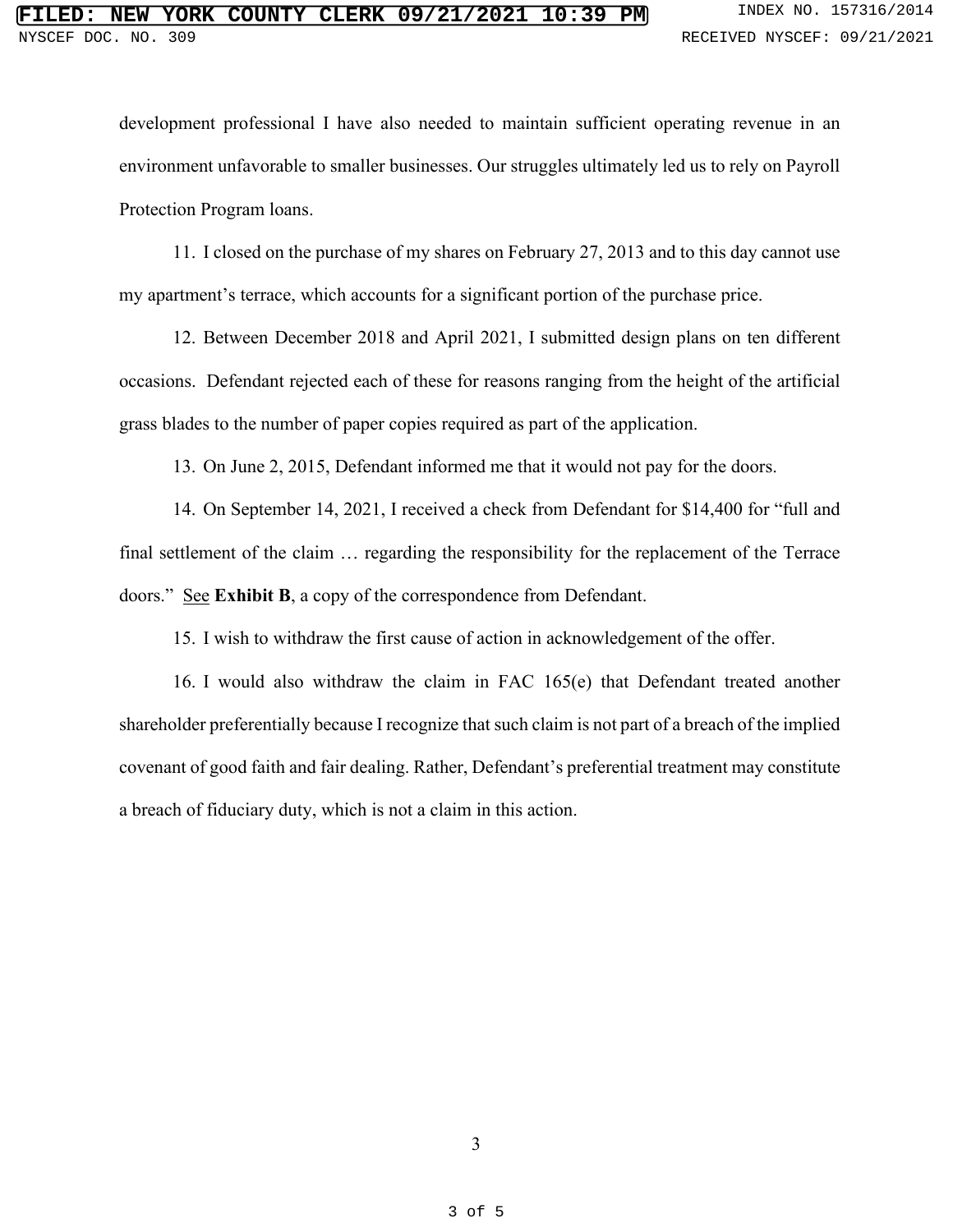development professional I have also needed to maintain sufficient operating revenue in an environment unfavorable to smaller businesses. Our struggles ultimately led us to rely on Payroll Protection Program loans.

11. I closed on the purchase of my shares on February 27, 2013 and to this day cannot use my apartment's terrace, which accounts for a significant portion of the purchase price.

12. Between December 2018 and April 2021, I submitted design plans on ten different occasions. Defendant rejected each of these for reasons ranging from the height of the artificial grass blades to the number of paper copies required as part of the application.

13. On June 2, 2015, Defendant informed me that it would not pay for the doors.

14. On September 14, 2021, I received a check from Defendant for \$14,400 for "full and final settlement of the claim … regarding the responsibility for the replacement of the Terrace doors." See **Exhibit B**, a copy of the correspondence from Defendant.

15. I wish to withdraw the first cause of action in acknowledgement of the offer.

16. I would also withdraw the claim in FAC 165(e) that Defendant treated another shareholder preferentially because I recognize that such claim is not part of a breach of the implied covenant of good faith and fair dealing. Rather, Defendant's preferential treatment may constitute a breach of fiduciary duty, which is not a claim in this action.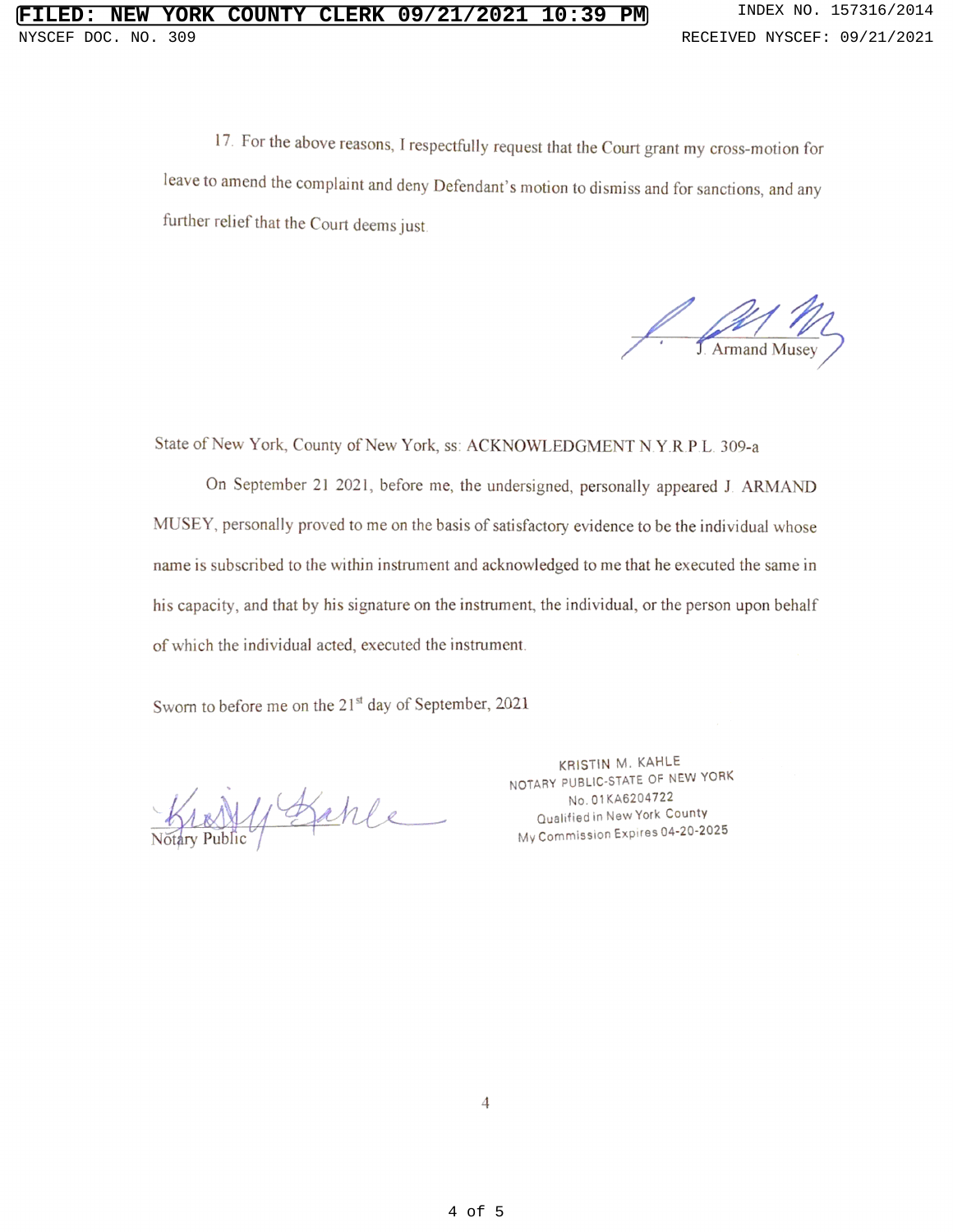1. For the above reasons, I respectfully request that the Court grant my cross-motion for leave to amend the complaint and deny Defendant's motion to dismiss and for sanctions, and any further relief that the Court deems just

**Armand Musey** 

State of New York, County of New York, ss: ACKNOWLEDGMENT N Y.R <sup>P</sup> <sup>L</sup> 309-a

On September <sup>21</sup> 2021, before me, the undersigned, personally appeared <sup>J</sup> ARMAND MUSEY, personally proved to me on the basis of satisfactory evidence to be the individual whose name is subscribed to the within instrument and acknowledged to me that he executed the same in his capacity, and that by his signature on the instrument, the individual, or the person upon behalf of which the individual acted, executed the instrument.

Sworn to before me on the 21<sup>st</sup> day of September, 2021

Kranty Bakle

KRISTIN M. KAHLE NOTARY PUBLIC-STATE OF NEW YORK No. 01KA6204722 Qualified in New York County My Commission Expires 04-20-2025

 $\overline{4}$